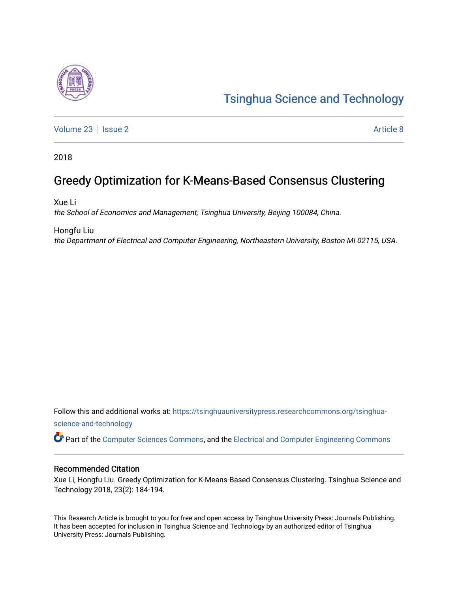# [Tsinghua Science and Technology](https://tsinghuauniversitypress.researchcommons.org/tsinghua-science-and-technology)

[Volume 23](https://tsinghuauniversitypress.researchcommons.org/tsinghua-science-and-technology/vol23) | [Issue 2](https://tsinghuauniversitypress.researchcommons.org/tsinghua-science-and-technology/vol23/iss2) Article 8

2018

## Greedy Optimization for K-Means-Based Consensus Clustering

Xue Li the School of Economics and Management, Tsinghua University, Beijing 100084, China.

Hongfu Liu the Department of Electrical and Computer Engineering, Northeastern University, Boston MI 02115, USA.

Follow this and additional works at: [https://tsinghuauniversitypress.researchcommons.org/tsinghua](https://tsinghuauniversitypress.researchcommons.org/tsinghua-science-and-technology?utm_source=tsinghuauniversitypress.researchcommons.org%2Ftsinghua-science-and-technology%2Fvol23%2Fiss2%2F8&utm_medium=PDF&utm_campaign=PDFCoverPages)[science-and-technology](https://tsinghuauniversitypress.researchcommons.org/tsinghua-science-and-technology?utm_source=tsinghuauniversitypress.researchcommons.org%2Ftsinghua-science-and-technology%2Fvol23%2Fiss2%2F8&utm_medium=PDF&utm_campaign=PDFCoverPages)

Part of the [Computer Sciences Commons](http://network.bepress.com/hgg/discipline/142?utm_source=tsinghuauniversitypress.researchcommons.org%2Ftsinghua-science-and-technology%2Fvol23%2Fiss2%2F8&utm_medium=PDF&utm_campaign=PDFCoverPages), and the [Electrical and Computer Engineering Commons](http://network.bepress.com/hgg/discipline/266?utm_source=tsinghuauniversitypress.researchcommons.org%2Ftsinghua-science-and-technology%2Fvol23%2Fiss2%2F8&utm_medium=PDF&utm_campaign=PDFCoverPages)

## Recommended Citation

Xue Li, Hongfu Liu. Greedy Optimization for K-Means-Based Consensus Clustering. Tsinghua Science and Technology 2018, 23(2): 184-194.

This Research Article is brought to you for free and open access by Tsinghua University Press: Journals Publishing. It has been accepted for inclusion in Tsinghua Science and Technology by an authorized editor of Tsinghua University Press: Journals Publishing.

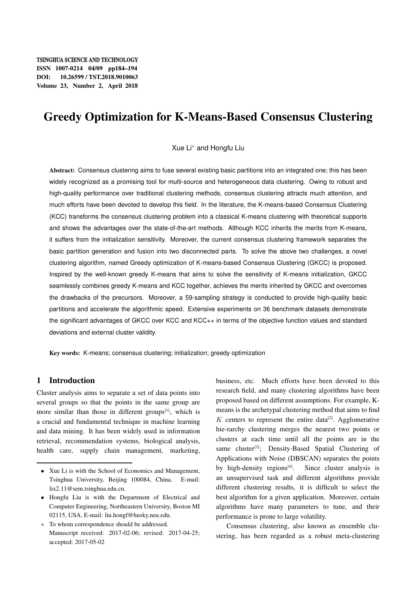**TSINGHUA SCIENCE AND TECHNOLOGY** ISSN 1007-0214 04/09 pp184–194 DOI: 10.26599 / TST.2018.9010063 Volume 23, Number 2, April 2018

## Greedy Optimization for K-Means-Based Consensus Clustering

Xue Li*<sup>∗</sup>* and Hongfu Liu

Abstract: Consensus clustering aims to fuse several existing basic partitions into an integrated one; this has been widely recognized as a promising tool for multi-source and heterogeneous data clustering. Owing to robust and high-quality performance over traditional clustering methods, consensus clustering attracts much attention, and much efforts have been devoted to develop this field. In the literature, the K-means-based Consensus Clustering (KCC) transforms the consensus clustering problem into a classical K-means clustering with theoretical supports and shows the advantages over the state-of-the-art methods. Although KCC inherits the merits from K-means, it suffers from the initialization sensitivity. Moreover, the current consensus clustering framework separates the basic partition generation and fusion into two disconnected parts. To solve the above two challenges, a novel clustering algorithm, named Greedy optimization of K-means-based Consensus Clustering (GKCC) is proposed. Inspired by the well-known greedy K-means that aims to solve the sensitivity of K-means initialization, GKCC seamlessly combines greedy K-means and KCC together, achieves the merits inherited by GKCC and overcomes the drawbacks of the precursors. Moreover, a 59-sampling strategy is conducted to provide high-quality basic partitions and accelerate the algorithmic speed. Extensive experiments on 36 benchmark datasets demonstrate the significant advantages of GKCC over KCC and KCC++ in terms of the objective function values and standard deviations and external cluster validity.

Key words: K-means; consensus clustering; initialization; greedy optimization

## 1 Introduction

Cluster analysis aims to separate a set of data points into several groups so that the points in the same group are more similar than those in different groups<sup>[1]</sup>, which is a crucial and fundamental technique in machine learning and data mining. It has been widely used in information retrieval, recommendation systems, biological analysis, health care, supply chain management, marketing,

business, etc. Much efforts have been devoted to this research field, and many clustering algorithms have been proposed based on different assumptions. For example, Kmeans is the archetypal clustering method that aims to find  $K$  centers to represent the entire data<sup>[2]</sup>. Agglomerative hie-rarchy clustering merges the nearest two points or clusters at each time until all the points are in the same cluster<sup>[3]</sup>; Density-Based Spatial Clustering of Applications with Noise (DBSCAN) separates the points by high-density regions $[4]$ . Since cluster analysis is an unsupervised task and different algorithms provide different clustering results, it is difficult to select the best algorithm for a given application. Moreover, certain algorithms have many parameters to tune, and their performance is prone to large volatility.

Consensus clustering, also known as ensemble clustering, has been regarded as a robust meta-clustering

*<sup>•</sup>* Xue Li is with the School of Economics and Management, Tsinghua University, Beijing 100084, China. E-mail: lix2.11@sem.tsinghua.edu.cn.

*<sup>•</sup>* Hongfu Liu is with the Department of Electrical and Computer Engineering, Northeastern University, Boston MI 02115, USA. E-mail: liu.hongf@husky.neu.edu.

*<sup>∗</sup>* To whom correspondence should be addressed. Manuscript received: 2017-02-06; revised: 2017-04-25; accepted: 2017-05-02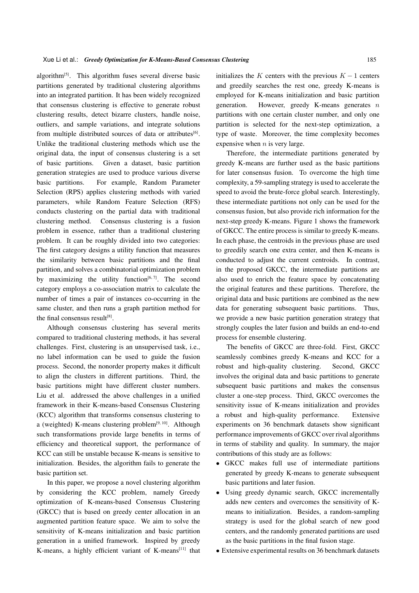algorithm $[5]$ . This algorithm fuses several diverse basic partitions generated by traditional clustering algorithms into an integrated partition. It has been widely recognized that consensus clustering is effective to generate robust clustering results, detect bizarre clusters, handle noise, outliers, and sample variations, and integrate solutions from multiple distributed sources of data or attributes<sup>[6]</sup>. Unlike the traditional clustering methods which use the original data, the input of consensus clustering is a set of basic partitions. Given a dataset, basic partition generation strategies are used to produce various diverse basic partitions. For example, Random Parameter Selection (RPS) applies clustering methods with varied parameters, while Random Feature Selection (RFS) conducts clustering on the partial data with traditional clustering method. Consensus clustering is a fusion problem in essence, rather than a traditional clustering problem. It can be roughly divided into two categories: The first category designs a utility function that measures the similarity between basic partitions and the final partition, and solves a combinatorial optimization problem by maximizing the utility function $[6, 7]$ . The second category employs a co-association matrix to calculate the number of times a pair of instances co-occurring in the same cluster, and then runs a graph partition method for the final consensus result $[8]$ .

Although consensus clustering has several merits compared to traditional clustering methods, it has several challenges. First, clustering is an unsupervised task, i.e., no label information can be used to guide the fusion process. Second, the nonorder property makes it difficult to align the clusters in different partitions. Third, the basic partitions might have different cluster numbers. Liu et al. addressed the above challenges in a unified framework in their K-means-based Consensus Clustering (KCC) algorithm that transforms consensus clustering to a (weighted) K-means clustering problem<sup>[9, 10]</sup>. Although such transformations provide large benefits in terms of efficiency and theoretical support, the performance of KCC can still be unstable because K-means is sensitive to initialization. Besides, the algorithm fails to generate the basic partition set.

In this paper, we propose a novel clustering algorithm by considering the KCC problem, namely Greedy optimization of K-means-based Consensus Clustering (GKCC) that is based on greedy center allocation in an augmented partition feature space. We aim to solve the sensitivity of K-means initialization and basic partition generation in a unified framework. Inspired by greedy K-means, a highly efficient variant of K-means<sup>[11]</sup> that initializes the *K* centers with the previous  $K - 1$  centers and greedily searches the rest one, greedy K-means is employed for K-means initialization and basic partition generation. However, greedy K-means generates *n* partitions with one certain cluster number, and only one partition is selected for the next-step optimization, a type of waste. Moreover, the time complexity becomes expensive when *n* is very large.

Therefore, the intermediate partitions generated by greedy K-means are further used as the basic partitions for later consensus fusion. To overcome the high time complexity, a 59-sampling strategy is used to accelerate the speed to avoid the brute-force global search. Interestingly, these intermediate partitions not only can be used for the consensus fusion, but also provide rich information for the next-step greedy K-means. Figure 1 shows the framework of GKCC. The entire process is similar to greedy K-means. In each phase, the centroids in the previous phase are used to greedily search one extra center, and then K-means is conducted to adjust the current centroids. In contrast, in the proposed GKCC, the intermediate partitions are also used to enrich the feature space by concatenating the original features and these partitions. Therefore, the original data and basic partitions are combined as the new data for generating subsequent basic partitions. Thus, we provide a new basic partition generation strategy that strongly couples the later fusion and builds an end-to-end process for ensemble clustering.

The benefits of GKCC are three-fold. First, GKCC seamlessly combines greedy K-means and KCC for a robust and high-quality clustering. Second, GKCC involves the original data and basic partitions to generate subsequent basic partitions and makes the consensus cluster a one-step process. Third, GKCC overcomes the sensitivity issue of K-means initialization and provides a robust and high-quality performance. Extensive experiments on 36 benchmark datasets show significant performance improvements of GKCC over rival algorithms in terms of stability and quality. In summary, the major contributions of this study are as follows:

- *•* GKCC makes full use of intermediate partitions generated by greedy K-means to generate subsequent basic partitions and later fusion.
- *•* Using greedy dynamic search, GKCC incrementally adds new centers and overcomes the sensitivity of Kmeans to initialization. Besides, a random-sampling strategy is used for the global search of new good centers, and the randomly generated partitions are used as the basic partitions in the final fusion stage.
- *•* Extensive experimental results on 36 benchmark datasets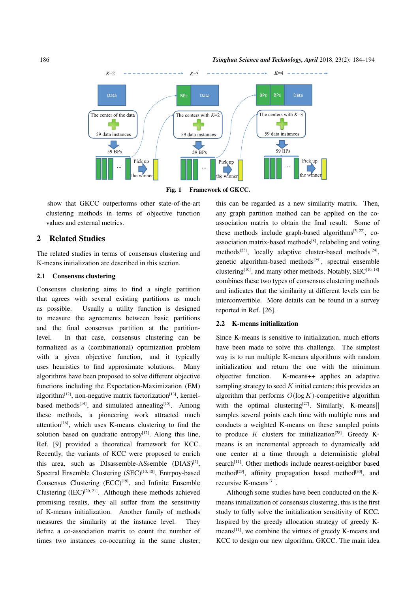

Fig. 1 Framework of GKCC.

show that GKCC outperforms other state-of-the-art clustering methods in terms of objective function values and external metrics.

## 2 Related Studies

The related studies in terms of consensus clustering and K-means initialization are described in this section.

### 2.1 Consensus clustering

Consensus clustering aims to find a single partition that agrees with several existing partitions as much as possible. Usually a utility function is designed to measure the agreements between basic partitions and the final consensus partition at the partitionlevel. In that case, consensus clustering can be formalized as a (combinational) optimization problem with a given objective function, and it typically uses heuristics to find approximate solutions. Many algorithms have been proposed to solve different objective functions including the Expectation-Maximization (EM) algorithm<sup>[12]</sup>, non-negative matrix factorization<sup>[13]</sup>, kernelbased methods<sup>[14]</sup>, and simulated annealing<sup>[15]</sup>. Among these methods, a pioneering work attracted much attention $[16]$ , which uses K-means clustering to find the solution based on quadratic entropy $[17]$ . Along this line, Ref. [9] provided a theoretical framework for KCC. Recently, the variants of KCC were proposed to enrich this area, such as DIsassemble-ASsemble  $(DIAS)^{[7]}$ , Spectral Ensemble Clustering  $(SEC)^{[10, 18]}$ , Entrpoy-based Consensus Clustering  $(ECC)^{[19]}$ , and Infinite Ensemble Clustering  $(IEC)^{[20, 21]}$ . Although these methods achieved promising results, they all suffer from the sensitivity of K-means initialization. Another family of methods measures the similarity at the instance level. They define a co-association matrix to count the number of times two instances co-occurring in the same cluster;

this can be regarded as a new similarity matrix. Then, any graph partition method can be applied on the coassociation matrix to obtain the final result. Some of these methods include graph-based algorithms $[5, 22]$ , coassociation matrix-based methods<sup>[8]</sup>, relabeling and voting methods<sup>[23]</sup>, locally adaptive cluster-based methods<sup>[24]</sup>, genetic algorithm-based methods $[25]$ , spectral ensemble clustering<sup>[10]</sup>, and many other methods. Notably, SEC<sup>[10, 18]</sup> combines these two types of consensus clustering methods and indicates that the similarity at different levels can be interconvertible. More details can be found in a survey reported in Ref. [26].

### 2.2 K-means initialization

Since K-means is sensitive to initialization, much efforts have been made to solve this challenge. The simplest way is to run multiple K-means algorithms with random initialization and return the one with the minimum objective function. K-means++ applies an adaptive sampling strategy to seed *K* initial centers; this provides an algorithm that performs *O*(log*K*)-competitive algorithm with the optimal clustering<sup>[27]</sup>. Similarly, K-means<sup>|</sup>| samples several points each time with multiple runs and conducts a weighted K-means on these sampled points to produce  $K$  clusters for initialization<sup>[28]</sup>. Greedy Kmeans is an incremental approach to dynamically add one center at a time through a deterministic global search<sup>[11]</sup>. Other methods include nearest-neighbor based method<sup>[29]</sup>, affinity propagation based method<sup>[30]</sup>, and recursive K-means<sup>[31]</sup>.

Although some studies have been conducted on the Kmeans initialization of consensus clustering, this is the first study to fully solve the initialization sensitivity of KCC. Inspired by the greedy allocation strategy of greedy K $means<sup>[11]</sup>$ , we combine the virtues of greedy K-means and KCC to design our new algorithm, GKCC. The main idea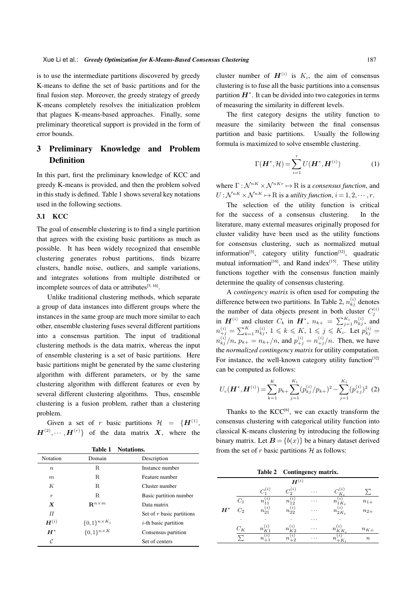is to use the intermediate partitions discovered by greedy K-means to define the set of basic partitions and for the final fusion step. Moreover, the greedy strategy of greedy K-means completely resolves the initialization problem that plagues K-means-based approaches. Finally, some preliminary theoretical support is provided in the form of error bounds.

## 3 Preliminary Knowledge and Problem Definition

In this part, first the preliminary knowledge of KCC and greedy K-means is provided, and then the problem solved in this study is defined. Table 1 shows several key notations used in the following sections.

#### 3.1 KCC

The goal of ensemble clustering is to find a single partition that agrees with the existing basic partitions as much as possible. It has been widely recognized that ensemble clustering generates robust partitions, finds bizarre clusters, handle noise, outliers, and sample variations, and integrates solutions from multiple distributed or incomplete sources of data or attributes $[5, 16]$ .

Unlike traditional clustering methods, which separate a group of data instances into different groups where the instances in the same group are much more similar to each other, ensemble clustering fuses several different partitions into a consensus partition. The input of traditional clustering methods is the data matrix, whereas the input of ensemble clustering is a set of basic partitions. Here basic partitions might be generated by the same clustering algorithm with different parameters, or by the same clustering algorithm with different features or even by several different clustering algorithms. Thus, ensemble clustering is a fusion problem, rather than a clustering problem.

Given a set of *r* basic partitions  $\mathcal{H} = \{H^{(1)},$  $H^{(2)}, \cdots, H^{(r)}$  of the data matrix X, where the

| Table 1 | Notations. |
|---------|------------|
|---------|------------|

| Notation         | Domain                                           | Description               |  |  |
|------------------|--------------------------------------------------|---------------------------|--|--|
| $\boldsymbol{n}$ | R.                                               | Instance number           |  |  |
| $\,m$            | R.                                               | Feature number            |  |  |
| K                | R.                                               | Cluster number            |  |  |
| $\boldsymbol{r}$ | R.                                               | Basic partition number    |  |  |
| $\boldsymbol{x}$ | $\mathbf{R}^{n \times m}$                        | Data matrix               |  |  |
| $\overline{H}$   |                                                  | Set of r basic partitions |  |  |
| $H^{(i)}$        | $\{0,1\}^{n\times K_i}$<br>$\{0,1\}^{n\times K}$ | $i$ -th basic partition   |  |  |
| $H^*$            |                                                  | Consensus partition       |  |  |
| C                |                                                  | Set of centers            |  |  |

cluster number of  $H^{(i)}$  is  $K_i$ , the aim of consensus clustering is to fuse all the basic partitions into a consensus partition *H<sup>∗</sup>* . It can be divided into two categories in terms of measuring the similarity in different levels.

The first category designs the utility function to measure the similarity between the final consensus partition and basic partitions. Usually the following formula is maximized to solve ensemble clustering.

$$
\Gamma(\boldsymbol{H}^*,\mathcal{H})=\sum_{i=1}^r U(\boldsymbol{H}^*,\boldsymbol{H}^{(i)})
$$
 (1)

where  $\Gamma : \mathcal{N}^{nK} \times \mathcal{N}^{nKr} \mapsto \mathbb{R}$  is a *consensus function*, and  $U : \mathcal{N}^{nK} \times \mathcal{N}^{nK} \mapsto \mathbb{R}$  is a *utility function*,  $i = 1, 2, \dots, r$ .

The selection of the utility function is critical for the success of a consensus clustering. In the literature, many external measures originally proposed for cluster validity have been used as the utility functions for consensus clustering, such as normalized mutual information<sup>[5]</sup>, category utility function<sup>[32]</sup>, quadratic mutual information<sup>[16]</sup>, and Rand index<sup>[15]</sup>. These utility functions together with the consensus function mainly determine the quality of consensus clustering.

A *contingency matrix* is often used for computing the difference between two partitions. In Table 2,  $n_{kj}^{(i)}$  denotes the number of data objects present in both cluster  $C_j^{(i)}$ in  $H^{(i)}$  and cluster  $C_k$  in  $H^*$ ,  $n_{k+} = \sum_{j=1}^{K_i} n_{kj}^{(i)}$ , and  $n_{+j}^{(i)} = \sum_{k=1}^{K} n_{kj}^{(i)}$ ,  $1 \leqslant k \leqslant K$ ,  $1 \leqslant j \leqslant K_i$ . Let  $p_{kj}^{(i)} =$  $n_{kj}^{(i)}/n$ ,  $p_{k+} = n_{k+}/n$ , and  $p_{+j}^{(i)} = n_{+j}^{(i)}/n$ . Then, we have the *normalized contingency matrix* for utility computation. For instance, the well-known category utility function<sup>[32]</sup> can be computed as follows:

$$
U_c(\boldsymbol{H}^*, \boldsymbol{H}^{(i)}) = \sum_{k=1}^K p_{k+1} \sum_{j=1}^{K_i} (p_{kj}^{(i)}/p_{k+1})^2 - \sum_{j=1}^{K_i} (p_{+j}^{(i)})^2
$$
 (2)

Thanks to the  $KCC^{[6]}$ , we can exactly transform the consensus clustering with categorical utility function into classical K-means clustering by introducing the following binary matrix. Let  $\mathbf{B} = \{b(x)\}\$ be a binary dataset derived from the set of  $r$  basic partitions  $H$  as follows:

|          |              | Table 2 Contingency matrix. |                        |   |                                |          |
|----------|--------------|-----------------------------|------------------------|---|--------------------------------|----------|
|          |              |                             | $\boldsymbol{H}^{(i)}$ |   |                                |          |
|          |              | (i)                         | $C_2^{(i)}$            | . | i                              | У.       |
|          | $C_1$        | $\overline{i}$<br>$n_{1}$   | i<br>$n_{12}$          | . | ï<br>$n_{1K_i}$                | $n_{1+}$ |
| $H^\ast$ | $C_2$        | (i)<br>$n_{21}$             | $(i_j$<br>$n_{\rm 22}$ | . | (i)<br>$n_{2K_i}$              | $n_{2+}$ |
|          | ٠            | ٠                           | ٠                      | . |                                |          |
|          | $C_{\cal K}$ | $\boldsymbol{i}$<br>$n_{K}$ | (i)<br>$n_{K2}$        | . | $n_{K_{K_i}}$                  | $n_{K+}$ |
|          |              | $\boldsymbol{n}$            | $\overline{n}$<br>-2   | . | $\overline{n}$<br>$\vdash K_i$ | $\it n$  |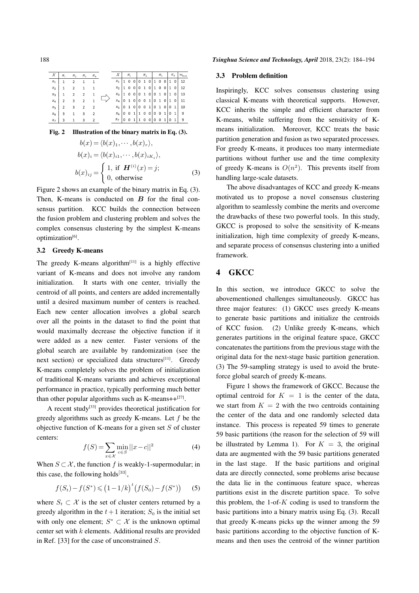|            | $\pi$          | $\pi$ , | $\pi$                    | $\pi_{\scriptscriptstyle A}$ |                 |              | $\pi$          |    |   | $\pi$ <sub>2</sub> |         |   | $\pi$ <sub>3</sub> |                |              | $\pi$ <sub>4</sub> | $W_{b(x)}$ |
|------------|----------------|---------|--------------------------|------------------------------|-----------------|--------------|----------------|----|---|--------------------|---------|---|--------------------|----------------|--------------|--------------------|------------|
| $x_1$      |                | 2       |                          |                              | $x_{1}$         | 1            | 0              | 0  | Ω | 1                  | 0       | 1 | 0                  | $\circ$        | 1            | 0                  | 12         |
| $x_2$      |                | 2       |                          |                              | x <sub>2</sub>  | 1            | 0              | 0  | 0 | 1                  | 0       | 1 | 0                  | 0              | 1            | 0                  | 12         |
| $x_3$      |                | 2       | 2                        |                              | $x_3$           | $^{\circ}$ 1 | 0              | 0  | 0 | <sup>1</sup>       | 0       | 0 | <sup>1</sup>       | $\overline{0}$ | 1            | 0                  | 13         |
| $x_4$      |                | 3       | $\overline{\phantom{a}}$ | 1                            | $\mathcal{X}_4$ | $\Omega$     | 1              | 0  | 0 | $\overline{0}$     | -1      | 0 | 1                  | $\overline{0}$ | 1            | 0                  | 11         |
| $x_{5}$    | $\overline{2}$ | 3       | 2                        | 2                            | $x_{5}$         |              | 0 <sub>1</sub> | 0  | 0 | $\overline{0}$     | -1      | 0 | 1                  | - 0            | $\mathbf{0}$ | 1                  | 10         |
| $x_6$      | 3              | 1       | 3                        | 2                            | x <sub>6</sub>  |              | $0\quad 0$     | -1 | 1 | 0                  | $\circ$ | 0 | 0 <sub>1</sub>     |                | $\mathbf{0}$ | 1                  | 9          |
| $\chi_{7}$ | 3              |         | 3                        |                              | $x_7$           | l 0          | 0              |    |   | 0                  | 0       | 0 | 0                  | 1              | 0            | 1                  | 9          |

#### Fig. 2 Illustration of the binary matrix in Eq. (3).

$$
b(x) = \langle b(x)_1, \dots, b(x)_r \rangle,
$$
  
\n
$$
b(x)_i = \langle b(x)_{i1}, \dots, b(x)_{iK_i} \rangle,
$$
  
\n
$$
b(x)_{ij} = \begin{cases} 1, & \text{if } H^{(i)}(x) = j; \\ 0, & \text{otherwise} \end{cases}
$$
 (3)

Figure 2 shows an example of the binary matrix in Eq. (3). Then, K-means is conducted on *B* for the final consensus partition. KCC builds the connection between the fusion problem and clustering problem and solves the complex consensus clustering by the simplest K-means optimization<sup>[6]</sup>.

## 3.2 Greedy K-means

The greedy K-means algorithm $[11]$  is a highly effective variant of K-means and does not involve any random initialization. It starts with one center, trivially the centroid of all points, and centers are added incrementally until a desired maximum number of centers is reached. Each new center allocation involves a global search over all the points in the dataset to find the point that would maximally decrease the objective function if it were added as a new center. Faster versions of the global search are available by randomization (see the next section) or specialized data structures<sup>[11]</sup>. Greedy K-means completely solves the problem of initialization of traditional K-means variants and achieves exceptional performance in practice, typically performing much better than other popular algorithms such as  $K$ -means++ $^{[27]}$ .

A recent study<sup>[33]</sup> provides theoretical justification for greedy algorithms such as greedy K-means. Let *f* be the objective function of K-means for a given set *S* of cluster centers:

$$
f(S) = \sum_{x \in \mathcal{X}} \min_{c \in S} ||x - c||^2
$$
 (4)

When  $S \subset \mathcal{X}$ , the function f is weakly-1-supermodular; in this case, the following holds $[33]$ ,

$$
f(S_t) - f(S^*) \le (1 - 1/k)^t (f(S_0) - f(S^*)) \tag{5}
$$

where  $S_t \subset \mathcal{X}$  is the set of cluster centers returned by a greedy algorithm in the  $t + 1$  iteration;  $S_0$  is the initial set with only one element;  $S^* \subset \mathcal{X}$  is the unknown optimal center set with *k* elements. Additional results are provided in Ref. [33] for the case of unconstrained *S*.

#### 3.3 Problem definition

Inspiringly, KCC solves consensus clustering using classical K-means with theoretical supports. However, KCC inherits the simple and efficient character from K-means, while suffering from the sensitivity of Kmeans initialization. Moreover, KCC treats the basic partition generation and fusion as two separated processes. For greedy K-means, it produces too many intermediate partitions without further use and the time complexity of greedy K-means is  $O(n^2)$ . This prevents itself from handling large-scale datasets.

The above disadvantages of KCC and greedy K-means motivated us to propose a novel consensus clustering algorithm to seamlessly combine the merits and overcome the drawbacks of these two powerful tools. In this study, GKCC is proposed to solve the sensitivity of K-means initialization, high time complexity of greedy K-means, and separate process of consensus clustering into a unified framework.

## 4 GKCC

In this section, we introduce GKCC to solve the abovementioned challenges simultaneously. GKCC has three major features: (1) GKCC uses greedy K-means to generate basic partitions and initialize the centroids of KCC fusion. (2) Unlike greedy K-means, which generates partitions in the original feature space, GKCC concatenates the partitions from the previous stage with the original data for the next-stage basic partition generation. (3) The 59-sampling strategy is used to avoid the bruteforce global search of greedy K-means.

Figure 1 shows the framework of GKCC. Because the optimal centroid for  $K = 1$  is the center of the data, we start from  $K = 2$  with the two centroids containing the center of the data and one randomly selected data instance. This process is repeated 59 times to generate 59 basic partitions (the reason for the selection of 59 will be illustrated by Lemma 1). For  $K = 3$ , the original data are augmented with the 59 basic partitions generated in the last stage. If the basic partitions and original data are directly connected, some problems arise because the data lie in the continuous feature space, whereas partitions exist in the discrete partition space. To solve this problem, the 1-of-*K* coding is used to transform the basic partitions into a binary matrix using Eq. (3). Recall that greedy K-means picks up the winner among the 59 basic partitions according to the objective function of Kmeans and then uses the centroid of the winner partition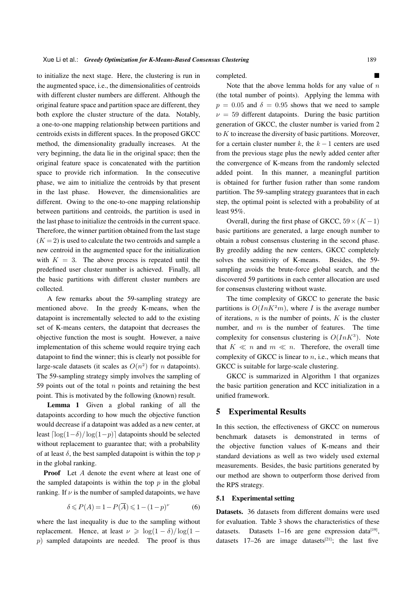to initialize the next stage. Here, the clustering is run in the augmented space, i.e., the dimensionalities of centroids with different cluster numbers are different. Although the original feature space and partition space are different, they both explore the cluster structure of the data. Notably, a one-to-one mapping relationship between partitions and centroids exists in different spaces. In the proposed GKCC method, the dimensionality gradually increases. At the very beginning, the data lie in the original space; then the original feature space is concatenated with the partition space to provide rich information. In the consecutive phase, we aim to initialize the centroids by that present in the last phase. However, the dimensionalities are different. Owing to the one-to-one mapping relationship between partitions and centroids, the partition is used in the last phase to initialize the centroids in the current space. Therefore, the winner partition obtained from the last stage  $(K = 2)$  is used to calculate the two centroids and sample a new centroid in the augmented space for the initialization with  $K = 3$ . The above process is repeated until the predefined user cluster number is achieved. Finally, all the basic partitions with different cluster numbers are collected.

A few remarks about the 59-sampling strategy are mentioned above. In the greedy K-means, when the datapoint is incrementally selected to add to the existing set of K-means centers, the datapoint that decreases the objective function the most is sought. However, a naive implementation of this scheme would require trying each datapoint to find the winner; this is clearly not possible for large-scale datasets (it scales as  $O(n^2)$  for *n* datapoints). The 59-sampling strategy simply involves the sampling of 59 points out of the total *n* points and retaining the best point. This is motivated by the following (known) result.

Lemma 1 Given a global ranking of all the datapoints according to how much the objective function would decrease if a datapoint was added as a new center, at least *⌈*log(1*−δ*)*/*log(1*−p*)*⌉* datapoints should be selected without replacement to guarantee that; with a probability of at least  $\delta$ , the best sampled datapoint is within the top  $p$ in the global ranking.

Proof Let *A* denote the event where at least one of the sampled datapoints is within the top *p* in the global ranking. If  $\nu$  is the number of sampled datapoints, we have

$$
\delta \leqslant P(A) = 1 - P(\overline{A}) \leqslant 1 - (1 - p)^{\nu} \tag{6}
$$

where the last inequality is due to the sampling without replacement. Hence, at least  $\nu \geq \log(1-\delta)/\log(1-\delta)$ *p*) sampled datapoints are needed. The proof is thus completed.

Note that the above lemma holds for any value of *n* (the total number of points). Applying the lemma with  $p = 0.05$  and  $\delta = 0.95$  shows that we need to sample  $\nu = 59$  different datapoints. During the basic partition generation of GKCC, the cluster number is varied from 2 to *K* to increase the diversity of basic partitions. Moreover, for a certain cluster number *k*, the  $k-1$  centers are used from the previous stage plus the newly added center after the convergence of K-means from the randomly selected added point. In this manner, a meaningful partition is obtained for further fusion rather than some random partition. The 59-sampling strategy guarantees that in each step, the optimal point is selected with a probability of at least 95%.

Overall, during the first phase of GKCC,  $59 \times (K-1)$ basic partitions are generated, a large enough number to obtain a robust consensus clustering in the second phase. By greedily adding the new centers, GKCC completely solves the sensitivity of K-means. Besides, the 59 sampling avoids the brute-force global search, and the discovered 59 partitions in each center allocation are used for consensus clustering without waste.

The time complexity of GKCC to generate the basic partitions is  $O(In K<sup>2</sup>m)$ , where *I* is the average number of iterations, *n* is the number of points, *K* is the cluster number, and *m* is the number of features. The time complexity for consensus clustering is  $O(InK<sup>3</sup>)$ . Note that  $K \ll n$  and  $m \ll n$ . Therefore, the overall time complexity of GKCC is linear to *n*, i.e., which means that GKCC is suitable for large-scale clustering.

GKCC is summarized in Algorithm 1 that organizes the basic partition generation and KCC initialization in a unified framework.

### 5 Experimental Results

In this section, the effectiveness of GKCC on numerous benchmark datasets is demonstrated in terms of the objective function values of K-means and their standard deviations as well as two widely used external measurements. Besides, the basic partitions generated by our method are shown to outperform those derived from the RPS strategy.

## 5.1 Experimental setting

Datasets. 36 datasets from different domains were used for evaluation. Table 3 shows the characteristics of these datasets. Datasets  $1-16$  are gene expression data<sup>[19]</sup>, datasets  $17-26$  are image datasets<sup>[21]</sup>; the last five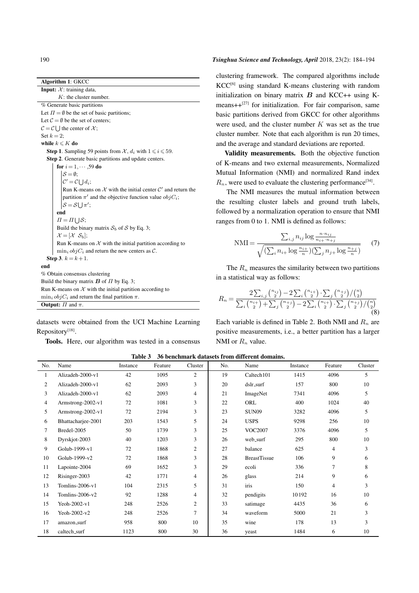| Algorithm 1: GKCC                                                                       |
|-----------------------------------------------------------------------------------------|
| <b>Input:</b> $X$ : training data,                                                      |
| $K$ : the cluster number.                                                               |
| % Generate basic partitions                                                             |
| Let $\Pi = \emptyset$ be the set of basic partitions;                                   |
| Let $\mathcal{C} = \emptyset$ be the set of centers;                                    |
| $C = C$ I the center of X;                                                              |
| Set $k=2$ ;                                                                             |
| while $k \leqslant K$ do                                                                |
| <b>Step 1</b> . Sampling 59 points from $\mathcal{X}$ , $d_i$ with $1 \leq i \leq 59$ . |
| Step 2. Generate basic partitions and update centers.                                   |
| <b>for</b> $i = 1, \dots, 59$ <b>do</b>                                                 |
| $\mathcal{S}=\emptyset;$                                                                |
| $\mathcal{C}' = \mathcal{C} \bigcup d_i;$                                               |
| Run K-means on $X$ with the initial center $C'$ and return the                          |
| partition $\pi'$ and the objective function value $objC_i$ ;                            |
| $S = S \bigcup \pi'$ ;                                                                  |
| end                                                                                     |
| $\Pi = \Pi \cup S$ ;                                                                    |
| Build the binary matrix $S_b$ of S by Eq. 3;                                            |
| $\mathcal{X} = [\mathcal{X} \ S_b];$                                                    |
| Run K-means on $X$ with the initial partition according to                              |
| $\min_i objC_i$ and return the new centers as C.                                        |
| <b>Step 3.</b> $k = k + 1$ .                                                            |
| end                                                                                     |
| % Obtain consensus clustering                                                           |
| Build the binary matrix $\bf{B}$ of $\bf{\Pi}$ by Eq. 3;                                |
| Run K-means on $X$ with the initial partition according to                              |
| $\min_i objC_i$ and return the final partition $\pi$ .                                  |
| <b>Output:</b> $\Pi$ and $\pi$ .                                                        |

datasets were obtained from the UCI Machine Learning Repository[18].

Tools. Here, our algorithm was tested in a consensus

#### 190 *Tsinghua Science and Technology, April* 2018, 23(2): 184–194

clustering framework. The compared algorithms include  $KCC^{[6]}$  using standard K-means clustering with random initialization on binary matrix  $B$  and KCC++ using Kmeans+ $+$ <sup>[27]</sup> for initialization. For fair comparison, same basic partitions derived from GKCC for other algorithms were used, and the cluster number *K* was set as the true cluster number. Note that each algorithm is run 20 times, and the average and standard deviations are reported.

Validity measurements. Both the objective function of K-means and two external measurements, Normalized Mutual Information (NMI) and normalized Rand index  $R_n$ , were used to evaluate the clustering performance<sup>[34]</sup>.

The NMI measures the mutual information between the resulting cluster labels and ground truth labels, followed by a normalization operation to ensure that NMI ranges from 0 to 1. NMI is defined as follows:

$$
NMI = \frac{\sum_{i,j} n_{ij} \log \frac{n \cdot n_{ij}}{n_{i+1} \cdot n_{+j}}}{\sqrt{(\sum_{i} n_{i+} \log \frac{n_{i+}}{n})(\sum_{j} n_{j+} \log \frac{n_{+j}}{n})}}
$$
(7)

The  $R_n$  measures the similarity between two partitions in a statistical way as follows:

$$
R_n = \frac{2\sum_{i,j} \binom{n_{ij}}{2} - 2\sum_{i} \binom{n_{i+1}}{2} \cdot \sum_{j} \binom{n_{+j}}{2} / \binom{n}{2}}{\sum_{i} \binom{n_{i+1}}{2} + \sum_{j} \binom{n_{+j}}{2} - 2\sum_{i} \binom{n_{i+1}}{2} \cdot \sum_{j} \binom{n_{+j}}{2} / \binom{n}{2}}
$$
(8)

Each variable is defined in Table 2. Both NMI and *R<sup>n</sup>* are positive measurements, i.e., a better partition has a larger NMI or  $R_n$  value.

| No.            | Name               | Instance | Feature | Cluster        | No. | Name                | Instance | Feature        | Cluster |
|----------------|--------------------|----------|---------|----------------|-----|---------------------|----------|----------------|---------|
| 1              | Alizadeh-2000-v1   | 42       | 1095    | $\mathfrak{2}$ | 19  | Caltech101          | 1415     | 4096           | 5       |
| 2              | Alizadeh-2000-v1   | 62       | 2093    | 3              | 20  | dslr_surf           | 157      | 800            | 10      |
| 3              | Alizadeh-2000-v1   | 62       | 2093    | $\overline{4}$ | 21  | ImageNet            | 7341     | 4096           | 5       |
| $\overline{4}$ | Armstrong-2002-v1  | 72       | 1081    | 3              | 22  | ORL                 | 400      | 1024           | 40      |
| 5              | Armstrong-2002-v1  | 72       | 2194    | 3              | 23  | <b>SUN09</b>        | 3282     | 4096           | 5       |
| 6              | Bhattacharjee-2001 | 203      | 1543    | 5              | 24  | <b>USPS</b>         | 9298     | 256            | 10      |
| 7              | Bredel-2005        | 50       | 1739    | 3              | 25  | <b>VOC2007</b>      | 3376     | 4096           | 5       |
| 8              | Dyrskjot-2003      | 40       | 1203    | 3              | 26  | web_surf            | 295      | 800            | 10      |
| 9              | Golub-1999-v1      | 72       | 1868    | 2              | 27  | balance             | 625      | 4              | 3       |
| 10             | Golub-1999-v2      | 72       | 1868    | 3              | 28  | <b>BreastTissue</b> | 106      | 9              | 6       |
| 11             | Lapointe-2004      | 69       | 1652    | 3              | 29  | ecoli               | 336      | $\overline{7}$ | 8       |
| 12             | Risinger-2003      | 42       | 1771    | $\overline{4}$ | 26  | glass               | 214      | 9              | 6       |
| 13             | Tomlins-2006-v1    | 104      | 2315    | 5              | 31  | iris                | 150      | 4              | 3       |
| 14             | Tomlins-2006-v2    | 92       | 1288    | $\overline{4}$ | 32  | pendigits           | 10192    | 16             | 10      |
| 15             | Yeoh-2002-v1       | 248      | 2526    | $\overline{2}$ | 33  | satimage            | 4435     | 36             | 6       |
| 16             | Yeoh-2002-v2       | 248      | 2526    | 7              | 34  | waveform            | 5000     | 21             | 3       |
| 17             | amazon_surf        | 958      | 800     | 10             | 35  | wine                | 178      | 13             | 3       |
| 18             | caltech_surf       | 1123     | 800     | 30             | 36  | yeast               | 1484     | 6              | 10      |

Table 3 36 benchmark datasets from different domains.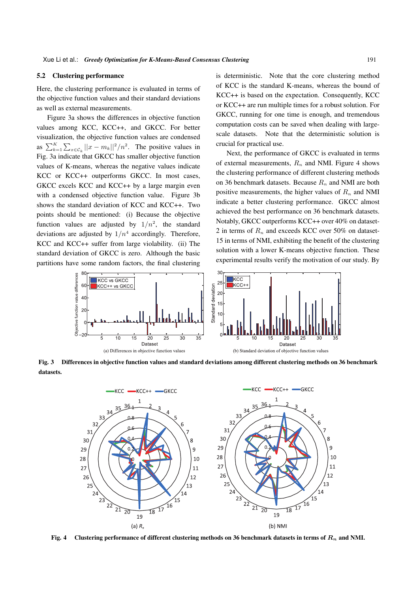#### 5.2 Clustering performance

Here, the clustering performance is evaluated in terms of the objective function values and their standard deviations as well as external measurements.

Figure 3a shows the differences in objective function values among KCC, KCC++, and GKCC. For better visualization, the objective function values are condensed as  $\sum_{k=1}^{K} \sum_{x \in \mathcal{C}_k} ||x - m_k||^2/n^2$ . The positive values in Fig. 3a indicate that GKCC has smaller objective function values of K-means, whereas the negative values indicate KCC or KCC++ outperforms GKCC. In most cases, GKCC excels KCC and KCC++ by a large margin even with a condensed objective function value. Figure 3b shows the standard deviation of KCC and KCC++. Two points should be mentioned: (i) Because the objective function values are adjusted by  $1/n^2$ , the standard deviations are adjusted by  $1/n^4$  accordingly. Therefore, KCC and KCC++ suffer from large violability. (ii) The standard deviation of GKCC is zero. Although the basic partitions have some random factors, the final clustering is deterministic. Note that the core clustering method of KCC is the standard K-means, whereas the bound of KCC++ is based on the expectation. Consequently, KCC or KCC++ are run multiple times for a robust solution. For GKCC, running for one time is enough, and tremendous computation costs can be saved when dealing with largescale datasets. Note that the deterministic solution is crucial for practical use.

Next, the performance of GKCC is evaluated in terms of external measurements, *R<sup>n</sup>* and NMI. Figure 4 shows the clustering performance of different clustering methods on 36 benchmark datasets. Because *R<sup>n</sup>* and NMI are both positive measurements, the higher values of *R<sup>n</sup>* and NMI indicate a better clustering performance. GKCC almost achieved the best performance on 36 benchmark datasets. Notably, GKCC outperforms KCC++ over 40% on dataset-2 in terms of  $R_n$  and exceeds KCC over 50% on dataset-15 in terms of NMI, exhibiting the benefit of the clustering solution with a lower K-means objective function. These experimental results verify the motivation of our study. By



Fig. 3 Differences in objective function values and standard deviations among different clustering methods on 36 benchmark datasets.



Fig. 4 Clustering performance of different clustering methods on 36 benchmark datasets in terms of *R<sup>n</sup>* and NMI.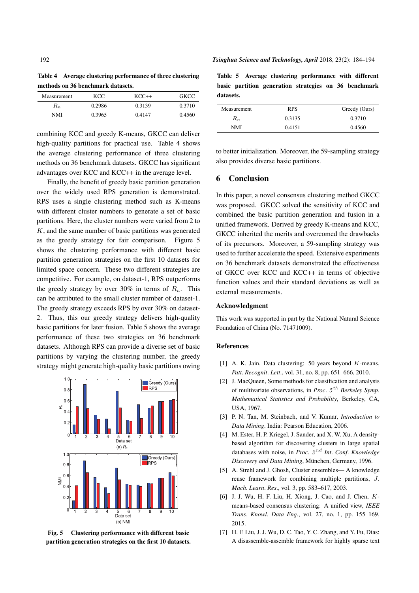Table 4 Average clustering performance of three clustering methods on 36 benchmark datasets.

| Measurement | KCC.   | $KCC++$ | <b>GKCC</b> |
|-------------|--------|---------|-------------|
| $R_n$       | 0.2986 | 0.3139  | 0.3710      |
| NMI         | 0.3965 | 0.4147  | 0.4560      |

combining KCC and greedy K-means, GKCC can deliver high-quality partitions for practical use. Table 4 shows the average clustering performance of three clustering methods on 36 benchmark datasets. GKCC has significant advantages over KCC and KCC++ in the average level.

Finally, the benefit of greedy basic partition generation over the widely used RPS generation is demonstrated. RPS uses a single clustering method such as K-means with different cluster numbers to generate a set of basic partitions. Here, the cluster numbers were varied from 2 to *K*, and the same number of basic partitions was generated as the greedy strategy for fair comparison. Figure 5 shows the clustering performance with different basic partition generation strategies on the first 10 datasets for limited space concern. These two different strategies are competitive. For example, on dataset-1, RPS outperforms the greedy strategy by over 30% in terms of  $R_n$ . This can be attributed to the small cluster number of dataset-1. The greedy strategy exceeds RPS by over 30% on dataset-2. Thus, this our greedy strategy delivers high-quality basic partitions for later fusion. Table 5 shows the average performance of these two strategies on 36 benchmark datasets. Although RPS can provide a diverse set of basic partitions by varying the clustering number, the greedy strategy might generate high-quality basic partitions owing



Fig. 5 Clustering performance with different basic partition generation strategies on the first 10 datasets.

Table 5 Average clustering performance with different basic partition generation strategies on 36 benchmark datasets.

| Measurement | <b>RPS</b> | Greedy (Ours) |
|-------------|------------|---------------|
| $R_n$       | 0.3135     | 0.3710        |
| NMI         | 0.4151     | 0.4560        |

to better initialization. Moreover, the 59-sampling strategy also provides diverse basic partitions.

## 6 Conclusion

In this paper, a novel consensus clustering method GKCC was proposed. GKCC solved the sensitivity of KCC and combined the basic partition generation and fusion in a unified framework. Derived by greedy K-means and KCC, GKCC inherited the merits and overcomed the drawbacks of its precursors. Moreover, a 59-sampling strategy was used to further accelerate the speed. Extensive experiments on 36 benchmark datasets demonstrated the effectiveness of GKCC over KCC and KCC++ in terms of objective function values and their standard deviations as well as external measurements.

### Acknowledgment

This work was supported in part by the National Natural Science Foundation of China (No. 71471009).

#### References

- [1] A. K. Jain, Data clustering: 50 years beyond *K*-means, *Patt*. *Recognit*. *Lett*., vol. 31, no. 8, pp. 651–666, 2010.
- [2] J. MacQueen, Some methods for classification and analysis of multivariate observations, in *Proc*. *5 th Berkeley Symp*. *Mathematical Statistics and Probability*, Berkeley, CA, USA, 1967.
- [3] P. N. Tan, M. Steinbach, and V. Kumar, *Introduction to Data Mining*. India: Pearson Education, 2006.
- [4] M. Ester, H. P. Kriegel, J. Sander, and X. W. Xu, A densitybased algorithm for discovering clusters in large spatial databases with noise, in *Proc*. *2 nd Int*. *Conf*. *Knowledge Discovery and Data Mining*, München, Germany, 1996.
- [5] A. Strehl and J. Ghosh, Cluster ensembles— A knowledge reuse framework for combining multiple partitions, *J*. *Mach*. *Learn*. *Res*., vol. 3, pp. 583–617, 2003.
- [6] J. J. Wu, H. F. Liu, H. Xiong, J. Cao, and J. Chen, *K*means-based consensus clustering: A unified view, *IEEE Trans*. *Knowl*. *Data Eng*., vol. 27, no. 1, pp. 155–169, 2015.
- [7] H. F. Liu, J. J. Wu, D. C. Tao, Y. C. Zhang, and Y. Fu, Dias: A disassemble-assemble framework for highly sparse text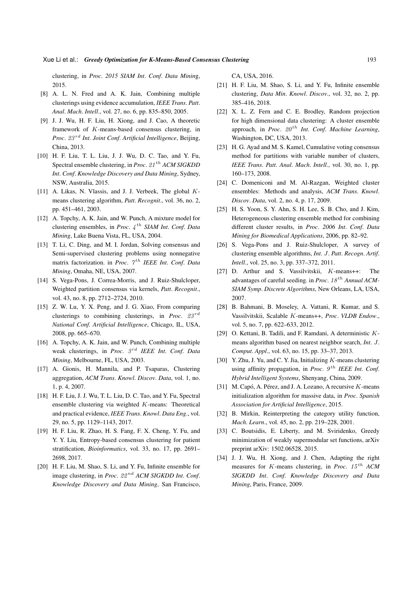clustering, in *Proc*. *2015 SIAM Int*. *Conf*. *Data Minin*g, 2015.

- [8] A. L. N. Fred and A. K. Jain, Combining multiple clusterings using evidence accumulation, *IEEE Trans*. *Patt*. *Anal*. *Mach*. *Intell*., vol. 27, no. 6, pp. 835–850, 2005.
- [9] J. J. Wu, H. F. Liu, H. Xiong, and J. Cao, A theoretic framework of *K*-means-based consensus clustering, in *Proc*. *23 rd Int*. *Joint Conf*. *Artificial Intelligence*, Beijing, China, 2013.
- [10] H. F. Liu, T. L. Liu, J. J. Wu, D. C. Tao, and Y. Fu, Spectral ensemble clustering, in *Proc*. *21 th ACM SIGKDD Int*. *Conf*. *Knowledge Discovery and Data Mining*, Sydney, NSW, Australia, 2015.
- [11] A. Likas, N. Vlassis, and J. J. Verbeek, The global *K*means clustering algorithm, *Patt*. *Recognit*., vol. 36, no. 2, pp. 451–461, 2003.
- [12] A. Topchy, A. K. Jain, and W. Punch, A mixture model for clustering ensembles, in *Proc*. *4 th SIAM Int*. *Conf*. *Data Mining*, Lake Buena Vista, FL, USA, 2004.
- [13] T. Li, C. Ding, and M. I. Jordan, Solving consensus and Semi-supervised clustering problems using nonnegative matrix factorization. in *Proc*. *7 th IEEE Int*. *Conf*. *Data Mining*, Omaha, NE, USA, 2007.
- [14] S. Vega-Pons, J. Correa-Morris, and J. Ruiz-Shulcloper, Weighted partition consensus via kernels, *Patt*. *Recognit*., vol. 43, no. 8, pp. 2712–2724, 2010.
- [15] Z. W. Lu, Y. X. Peng, and J. G. Xiao, From comparing clusterings to combining clusterings, in *Proc*. *23 rd National Conf*. *Artificial Intelligence*, Chicago, IL, USA, 2008, pp. 665–670.
- [16] A. Topchy, A. K. Jain, and W. Punch, Combining multiple weak clusterings, in *Proc*. *3 rd IEEE Int*. *Conf*. *Data Mining*, Melbourne, FL, USA, 2003.
- [17] A. Gionis, H. Mannila, and P. Tsaparas, Clustering aggregation, *ACM Trans*. *Knowl*. *Discov*. *Data*, vol. 1, no. 1, p. 4, 2007.
- [18] H. F. Liu, J. J. Wu, T. L. Liu, D. C. Tao, and Y. Fu, Spectral ensemble clustering via weighted *K*-means: Theoretical and practical evidence, *IEEE Trans*. *Knowl*. *Data Eng*., vol. 29, no. 5, pp. 1129–1143, 2017.
- [19] H. F. Liu, R. Zhao, H. S. Fang, F. X. Cheng, Y. Fu, and Y. Y. Liu, Entropy-based consensus clustering for patient stratification, *Bioinformatics*, vol. 33, no. 17, pp. 2691– 2698, 2017.
- [20] H. F. Liu, M. Shao, S. Li, and Y. Fu, Infinite ensemble for image clustering, in *Proc*. *22 nd ACM SIGKDD Int*. *Conf*. *Knowledge Discovery and Data Mining*, San Francisco,

CA, USA, 2016.

- [21] H. F. Liu, M. Shao, S. Li, and Y. Fu, Infinite ensemble clustering, *Data Min*. *Knowl*. *Discov*., vol. 32, no. 2, pp. 385–416, 2018.
- [22] X. L. Z. Fern and C. E. Brodley, Random projection for high dimensional data clustering: A cluster ensemble approach, in *Proc*. *20 th Int*. *Conf*. *Machine Learning*, Washington, DC, USA, 2013.
- [23] H. G. Ayad and M. S. Kamel, Cumulative voting consensus method for partitions with variable number of clusters, *IEEE Trans*. *Patt*. *Anal*. *Mach*. *Intell*., vol. 30, no. 1, pp. 160–173, 2008.
- [24] C. Domeniconi and M. Al-Razgan, Weighted cluster ensembles: Methods and analysis, *ACM Trans*. *Knowl*. *Discov*. *Data*, vol. 2, no. 4, p. 17, 2009.
- [25] H. S. Yoon, S. Y. Ahn, S. H. Lee, S. B. Cho, and J. Kim, Heterogeneous clustering ensemble method for combining different cluster results, in *Proc*. *2006 Int*. *Conf*. *Data Mining for Biomedical Applications*, 2006, pp. 82–92.
- [26] S. Vega-Pons and J. Ruiz-Shulcloper, A survey of clustering ensemble algorithms, *Int*. *J*. *Patt*. *Recogn*. *Artif*. *Intell*., vol. 25, no. 3, pp. 337–372, 2011.
- [27] D. Arthur and S. Vassilvitskii, *K*-means++: The advantages of careful seeding. in *Proc*. *18 th Annual ACM-SIAM Symp*. *Discrete Algorithms*, New Orleans, LA, USA, 2007.
- [28] B. Bahmani, B. Moseley, A. Vattani, R. Kumar, and S. Vassilvitskii, Scalable *K*-means++, *Proc*. *VLDB Endow*., vol. 5, no. 7, pp. 622–633, 2012.
- [29] O. Kettani, B. Tadili, and F. Ramdani, A deterministic *K*means algorithm based on nearest neighbor search, *Int*. *J*. *Comput*. *Appl*., vol. 63, no. 15, pp. 33–37, 2013.
- [30] Y. Zhu, J. Yu, and C. Y. Jia, Initializing *K*-means clustering using affinity propagation, in *Proc*. *9 th IEEE Int*. *Conf*. *Hybrid Intelligent Systems*, Shenyang, China, 2009.
- [31] M. Capó, A. Pérez, and J. A. Lozano, A recursive *K*-means initialization algorithm for massive data, in *Proc*. *Spanish Association for Artificial Intelligence*, 2015.
- [32] B. Mirkin, Reinterpreting the category utility function, *Mach*. *Learn*., vol. 45, no. 2, pp. 219–228, 2001.
- [33] C. Boutsidis, E. Liberty, and M. Sviridenko, Greedy minimization of weakly supermodular set functions, arXiv preprint arXiv: 1502.06528, 2015.
- [34] J. J. Wu, H. Xiong, and J. Chen, Adapting the right measures for *K*-means clustering, in *Proc*. *15 th ACM SIGKDD Int*. *Conf*. *Knowledge Discovery and Data Mining*, Paris, France, 2009.